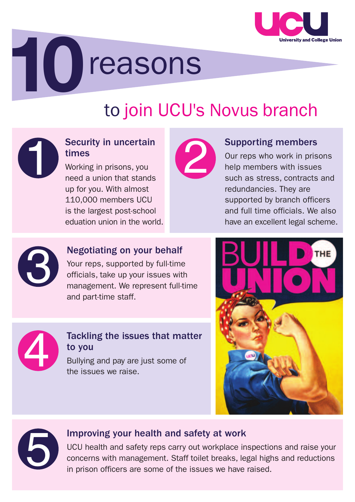

# **10**reasons

## to join UCU's Novus branch

#### Security in uncertain times

Security in uncertain<br>times<br>Working in prisons, you<br>need a union that stands<br>up for you. With almost Working in prisons, you need a union that stands up for you. With almost 110,000 members UCU is the largest post-school eduation union in the world.



#### Supporting members

Our reps who work in prisons help members with issues such as stress, contracts and redundancies. They are supported by branch officers and full time officials. We also have an excellent legal scheme.



#### Negotiating on your behalf

Your reps, supported by full-time officials, take up your issues with management. We represent full-time and part-time staff.



#### Tackling the issues that matter to you

Bullying and pay are just some of the issues we raise.





#### Improving your health and safety at work

UCU health and safety reps carry out workplace inspections and raise your concerns with management. Staff toilet breaks, legal highs and reductions in prison officers are some of the issues we have raised.